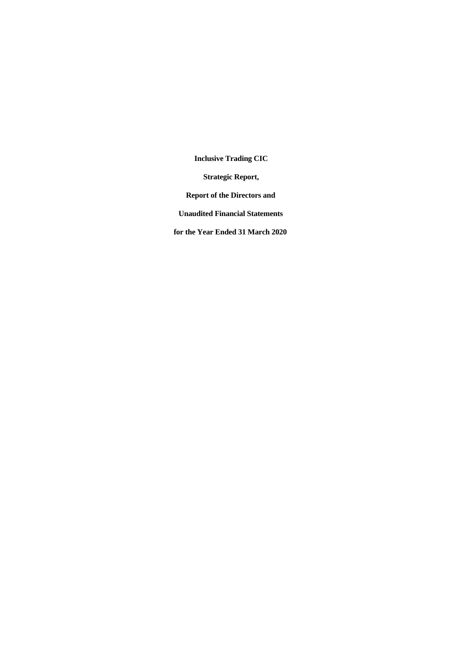**Strategic Report,**

**Report of the Directors and**

**Unaudited Financial Statements**

**for the Year Ended 31 March 2020**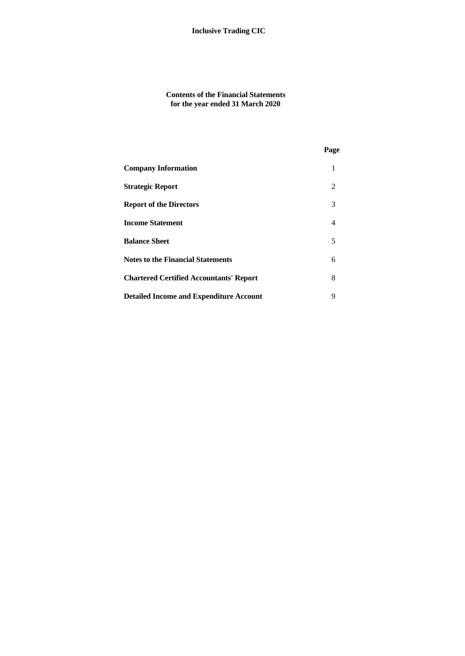**Contents of the Financial Statements for the year ended 31 March 2020**

|                                                | Page |  |
|------------------------------------------------|------|--|
| <b>Company Information</b>                     | 1    |  |
| <b>Strategic Report</b>                        | 2    |  |
| <b>Report of the Directors</b>                 | 3    |  |
| <b>Income Statement</b>                        | 4    |  |
| <b>Balance Sheet</b>                           | 5    |  |
| <b>Notes to the Financial Statements</b>       | 6    |  |
| <b>Chartered Certified Accountants' Report</b> | 8    |  |
| <b>Detailed Income and Expenditure Account</b> | 9    |  |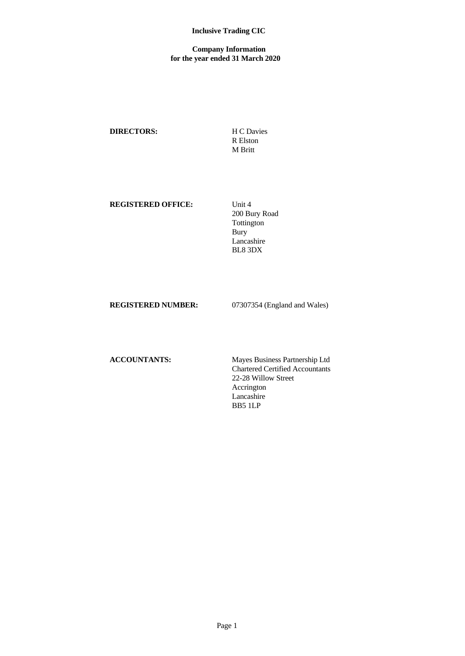## **Company Information for the year ended 31 March 2020**

## **DIRECTORS:** H C Davies

R Elston M Britt

## **REGISTERED OFFICE:** Unit 4

200 Bury Road Tottington Bury Lancashire BL8 3DX

**REGISTERED NUMBER:** 07307354 (England and Wales)

**ACCOUNTANTS:** Mayes Business Partnership Ltd Chartered Certified Accountants 22-28 Willow Street Accrington Lancashire BB5 1LP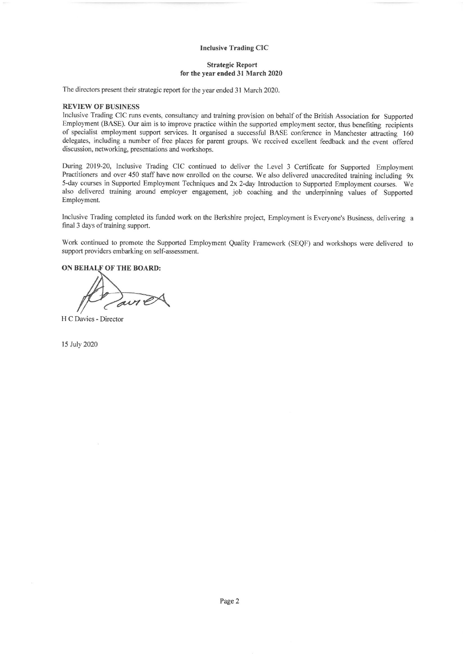#### **Strategic Report** for the year ended 31 March 2020

The directors present their strategic report for the year ended 31 March 2020.

## **REVIEW OF BUSINESS**

Inclusive Trading CIC runs events, consultancy and training provision on behalf of the British Association for Supported Employment (BASE). Our aim is to improve practice within the supported employment sector, thus benefiting recipients of specialist employment support services. It organised a successful BASE conference in Manchester attracting 160 delegates, including a number of free places for parent groups. We received excellent feedback and the event offered discussion, networking, presentations and workshops.

During 2019-20, Inclusive Trading CIC continued to deliver the Level 3 Certificate for Supported Employment Practitioners and over 450 staff have now enrolled on the course. We also delivered unaccredited training including 9x 5-day courses in Supported Employment Techniques and 2x 2-day Introduction to Supported Employment courses. We also delivered training around employer engagement, job coaching and the underpinning values of Supported Employment.

Inclusive Trading completed its funded work on the Berkshire project, Employment is Everyone's Business, delivering a final 3 days of training support.

Work continued to promote the Supported Employment Quality Framework (SEQF) and workshops were delivered to support providers embarking on self-assessment.

ON BEHALF OF THE BOARD:

H C Davies - Director

15 July 2020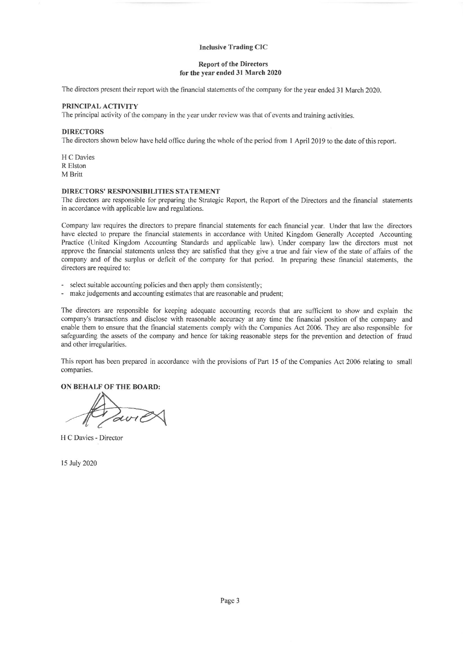#### **Report of the Directors** for the year ended 31 March 2020

The directors present their report with the financial statements of the company for the year ended 31 March 2020.

#### PRINCIPAL ACTIVITY

The principal activity of the company in the year under review was that of events and training activities.

#### **DIRECTORS**

The directors shown below have held office during the whole of the period from 1 April 2019 to the date of this report.

H C Davies R Elston M Britt

## DIRECTORS' RESPONSIBILITIES STATEMENT

The directors are responsible for preparing the Strategic Report, the Report of the Directors and the financial statements in accordance with applicable law and regulations.

Company law requires the directors to prepare financial statements for each financial year. Under that law the directors have elected to prepare the financial statements in accordance with United Kingdom Generally Accepted Accounting Practice (United Kingdom Accounting Standards and applicable law). Under company law the directors must not approve the financial statements unless they are satisfied that they give a true and fair view of the state of affairs of the company and of the surplus or deficit of the company for that period. In preparing these financial statements, the directors are required to:

- select suitable accounting policies and then apply them consistently;

- make judgements and accounting estimates that are reasonable and prudent;

The directors are responsible for keeping adequate accounting records that are sufficient to show and explain the company's transactions and disclose with reasonable accuracy at any time the financial position of the company and enable them to ensure that the financial statements comply with the Companies Act 2006. They are also responsible for safeguarding the assets of the company and hence for taking reasonable steps for the prevention and detection of fraud and other irregularities.

This report has been prepared in accordance with the provisions of Part 15 of the Companies Act 2006 relating to small companies.

ON BEHALF OF THE BOARD:

H C Davies - Director

15 July 2020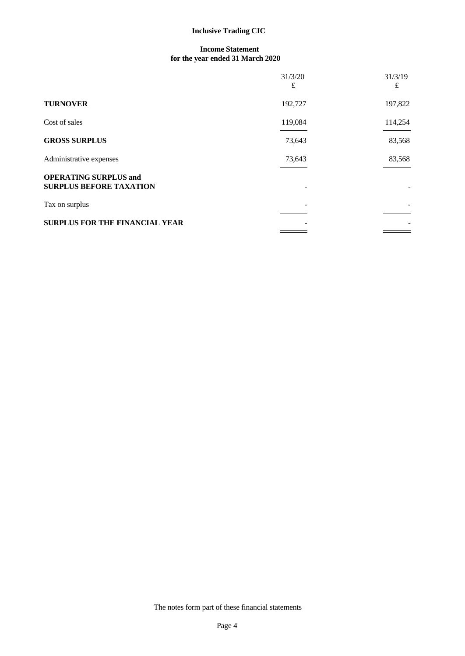## **Income Statement for the year ended 31 March 2020**

|                                                                | 31/3/20<br>£ | 31/3/19<br>£             |
|----------------------------------------------------------------|--------------|--------------------------|
| <b>TURNOVER</b>                                                | 192,727      | 197,822                  |
| Cost of sales                                                  | 119,084      | 114,254                  |
| <b>GROSS SURPLUS</b>                                           | 73,643       | 83,568                   |
| Administrative expenses                                        | 73,643       | 83,568                   |
| <b>OPERATING SURPLUS and</b><br><b>SURPLUS BEFORE TAXATION</b> |              | $\overline{\phantom{a}}$ |
| Tax on surplus                                                 |              | $\overline{\phantom{a}}$ |
| <b>SURPLUS FOR THE FINANCIAL YEAR</b>                          |              |                          |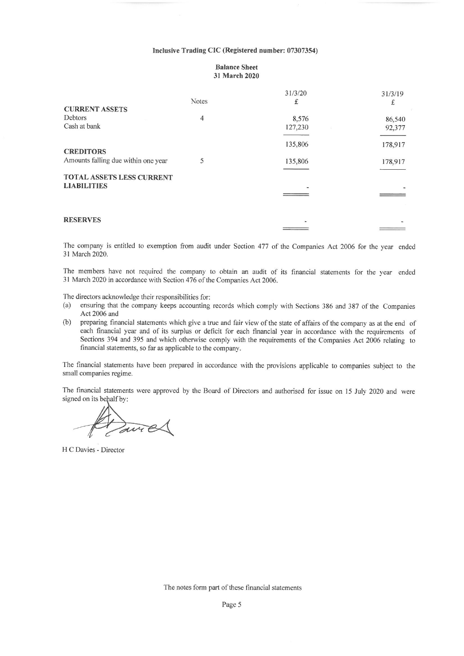#### Inclusive Trading CIC (Registered number: 07307354)

#### **Balance Sheet** 31 March 2020

|                                     |              | 31/3/20                      | 31/3/19 |
|-------------------------------------|--------------|------------------------------|---------|
|                                     | <b>Notes</b> | £                            | ±.      |
| <b>CURRENT ASSETS</b>               |              |                              |         |
| <b>Debtors</b>                      | 4            | 8,576                        | 86,540  |
| Cash at bank                        |              | 127,230                      | 92,377  |
|                                     |              | 135,806                      | 178,917 |
| <b>CREDITORS</b>                    |              |                              |         |
| Amounts falling due within one year | 5            | 135,806                      | 178,917 |
| <b>TOTAL ASSETS LESS CURRENT</b>    |              |                              |         |
| <b>LIABILITIES</b>                  |              | $\qquad \qquad \blacksquare$ |         |
|                                     |              |                              |         |
| <b>RESERVES</b>                     |              |                              |         |
|                                     |              |                              |         |

The company is entitled to exemption from audit under Section 477 of the Companies Act 2006 for the year ended 31 March 2020.

The members have not required the company to obtain an audit of its financial statements for the year ended 31 March 2020 in accordance with Section 476 of the Companies Act 2006.

The directors acknowledge their responsibilities for:

- ensuring that the company keeps accounting records which comply with Sections 386 and 387 of the Companies  $(a)$ Act 2006 and
- $(b)$ preparing financial statements which give a true and fair view of the state of affairs of the company as at the end of each financial year and of its surplus or deficit for each financial year in accordance with the requirements of Sections 394 and 395 and which otherwise comply with the requirements of the Companies Act 2006 relating to financial statements, so far as applicable to the company.

The financial statements have been prepared in accordance with the provisions applicable to companies subject to the small companies regime.

The financial statements were approved by the Board of Directors and authorised for issue on 15 July 2020 and were signed on its behalf by:

David

H C Davies - Director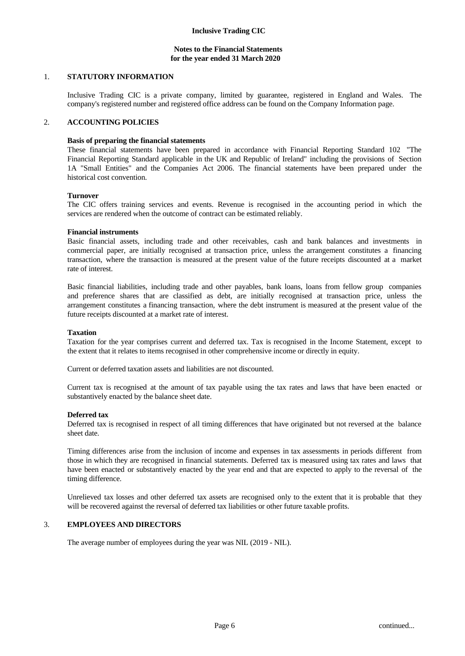## **Notes to the Financial Statements for the year ended 31 March 2020**

## 1. **STATUTORY INFORMATION**

Inclusive Trading CIC is a private company, limited by guarantee, registered in England and Wales. The company's registered number and registered office address can be found on the Company Information page.

## 2. **ACCOUNTING POLICIES**

## **Basis of preparing the financial statements**

These financial statements have been prepared in accordance with Financial Reporting Standard 102 "The Financial Reporting Standard applicable in the UK and Republic of Ireland" including the provisions of Section 1A "Small Entities" and the Companies Act 2006. The financial statements have been prepared under the historical cost convention.

#### **Turnover**

The CIC offers training services and events. Revenue is recognised in the accounting period in which the services are rendered when the outcome of contract can be estimated reliably.

## **Financial instruments**

Basic financial assets, including trade and other receivables, cash and bank balances and investments in commercial paper, are initially recognised at transaction price, unless the arrangement constitutes a financing transaction, where the transaction is measured at the presentvalue of the future receipts discounted at a market rate of interest.

Basic financial liabilities, including trade and other payables, bank loans, loans from fellow group companies and preference shares that are classified as debt, are initially recognised at transaction price, unless the arrangement constitutes a financing transaction, where the debt instrument is measured at the presentvalue of the future receipts discounted at a market rate of interest.

## **Taxation**

Taxation for the year comprises current and deferred tax. Tax is recognised in the Income Statement, except to the extent that it relates to items recognised in other comprehensive income or directly in equity.

Current or deferred taxation assets and liabilities are not discounted.

Current tax is recognised at the amount of tax payable using the tax rates and laws that have been enacted or substantively enacted by the balance sheet date.

#### **Deferred tax**

Deferred tax is recognised in respect of all timing differences that have originated but not reversed at the balance sheet date.

Timing differences arise from the inclusion of income and expenses in tax assessments in periods different from those in which they are recognised in financial statements. Deferred tax is measured using tax rates and laws that have been enacted or substantively enacted by the year end and that are expected to apply to the reversal of the timing difference.

Unrelieved tax losses and other deferred tax assets are recognised only to the extent that it is probable that they will be recovered against the reversal of deferred tax liabilities or other future taxable profits.

## 3. **EMPLOYEES AND DIRECTORS**

The average number of employees during the year was NIL (2019 - NIL).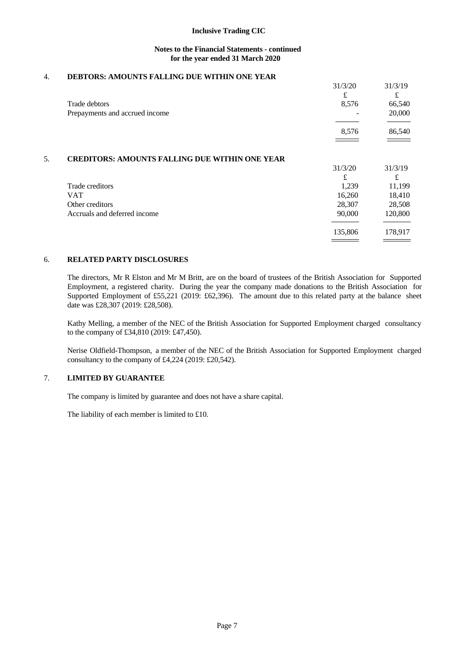## **Notes to the Financial Statements - continued for the year ended 31 March 2020**

## 4. **DEBTORS: AMOUNTS FALLING DUE WITHIN ONE YEAR**

|                                                       | 31/3/20 | 31/3/19 |
|-------------------------------------------------------|---------|---------|
|                                                       | £       | £       |
| Trade debtors                                         | 8,576   | 66,540  |
| Prepayments and accrued income                        |         | 20,000  |
|                                                       |         |         |
|                                                       | 8,576   | 86,540  |
|                                                       |         |         |
| <b>CREDITORS: AMOUNTS FALLING DUE WITHIN ONE YEAR</b> |         |         |
|                                                       | 31/3/20 | 31/3/19 |
|                                                       | £       | £       |
| Trade creditors                                       | 1,239   | 11,199  |
| <b>VAT</b>                                            | 16,260  | 18,410  |
| Other creditors                                       | 28,307  | 28,508  |
| Accruals and deferred income                          | 90,000  | 120,800 |
|                                                       | 135,806 | 178,917 |
|                                                       |         |         |

## 6. **RELATED PARTY DISCLOSURES**

The directors, Mr R Elston and MrM Britt, are on the board of trustees of the British Association for Supported Employment, a registered charity. During the year the company made donations to the British Association for Supported Employment of £55,221 (2019: £62,396). The amount due to this related party at the balance sheet date was £28,307 (2019: £28,508).

Kathy Melling, a member of the NEC of the British Association for Supported Employment charged consultancy to the company of £34,810 (2019: £47,450).

Nerise Oldfield-Thompson, a member of the NEC of the British Association for Supported Employment charged consultancy to the company of £4,224 (2019: £20,542).

## 7. **LIMITED BY GUARANTEE**

The company is limited by guarantee and does not have a share capital.

The liability of each member is limited to £10.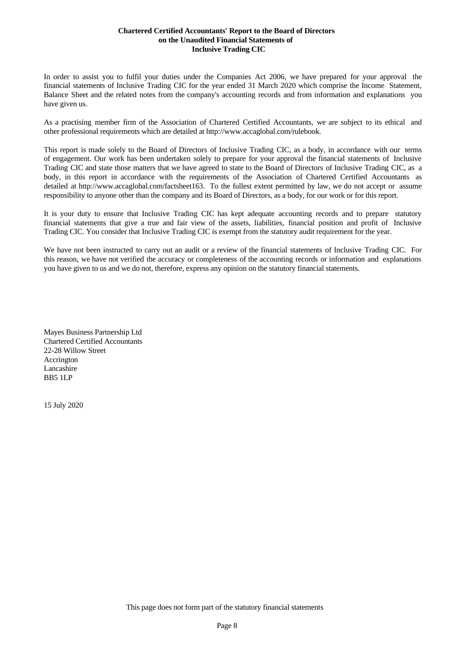## **Chartered Certified Accountants' Report to the Board of Directors on the Unaudited Financial Statements of Inclusive Trading CIC**

In order to assist you to fulfil your duties under the Companies Act 2006, we have prepared for your approval the financial statements of Inclusive Trading CIC for the year ended 31 March 2020 which comprise the Income Statement, Balance Sheet and the related notes from the company's accounting records and from information and explanations you have given us.

As a practising member firm of the Association of Chartered Certified Accountants, we are subject to its ethical and other professional requirements which are detailed at http://www.accaglobal.com/rulebook.

This report is made solely to the Board of Directors of Inclusive Trading CIC, as a body, in accordance with our terms of engagement. Our work has been undertaken solely to prepare for your approval the financial statements of Inclusive Trading CIC and state those matters that we have agreed to state to the Board of Directors of Inclusive Trading CIC, as a body, in this report in accordance with the requirements of the Association of Chartered Certified Accountants as detailed at http://www.accaglobal.com/factsheet163. To the fullest extent permitted by law, we do not accept or assume responsibility to anyone other than the company and its Board of Directors, as a body, for our work or for this report.

It is your duty to ensure that Inclusive Trading CIC has kept adequate accounting records and to prepare statutory financial statements that give a true and fair view of the assets, liabilities, financial position and profit of Inclusive Trading CIC. You consider that Inclusive Trading CIC is exempt from the statutory audit requirement for the year.

We have not been instructed to carry out an audit or a review of the financial statements of Inclusive Trading CIC. For this reason, we have not verified the accuracy or completeness of the accounting records or information and explanations you have given to us and we do not, therefore, express any opinion on the statutory financial statements.

Mayes Business Partnership Ltd Chartered Certified Accountants 22-28 Willow Street Accrington Lancashire BB5 1LP

15 July 2020